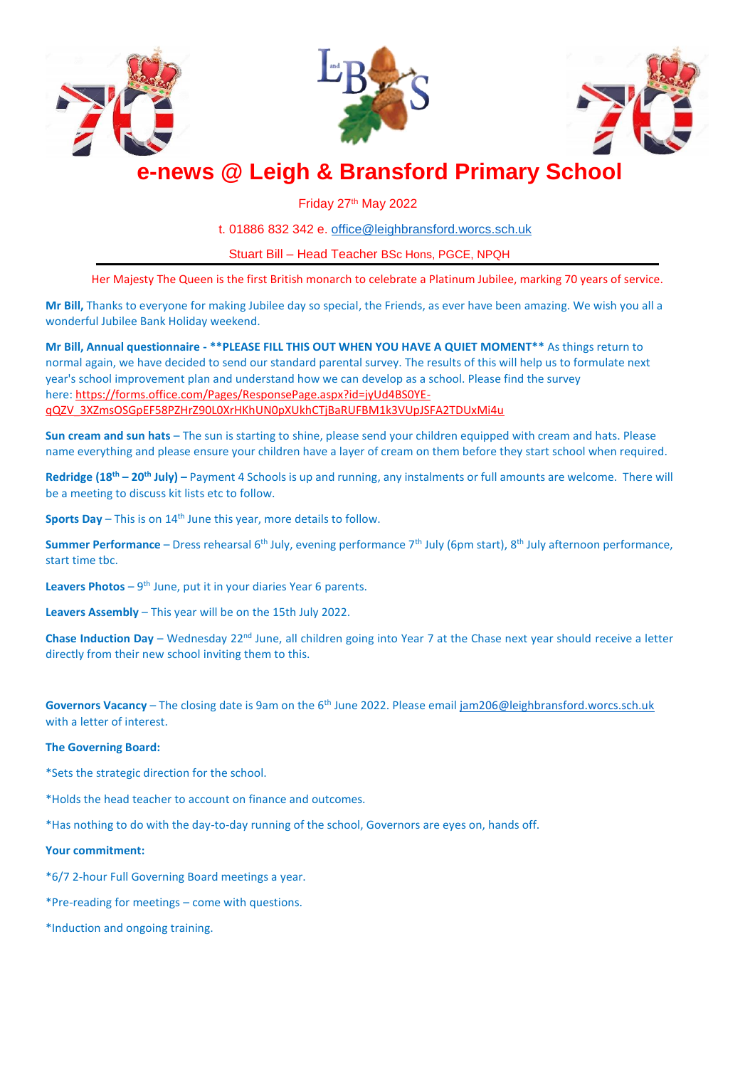





# **e-news @ Leigh & Bransford Primary School**

Friday 27th May 2022

t. 01886 832 342 e. [office@leighbransford.worcs.sch.uk](mailto:office@leighbransford.worcs.sch.uk)

Stuart Bill – Head Teacher BSc Hons, PGCE, NPQH

Her Majesty The Queen is the first British monarch to celebrate a Platinum Jubilee, marking 70 years of service.

**Mr Bill,** Thanks to everyone for making Jubilee day so special, the Friends, as ever have been amazing. We wish you all a wonderful Jubilee Bank Holiday weekend.

**Mr Bill, Annual questionnaire - \*\*PLEASE FILL THIS OUT WHEN YOU HAVE A QUIET MOMENT\*\*** As things return to normal again, we have decided to send our standard parental survey. The results of this will help us to formulate next year's school improvement plan and understand how we can develop as a school. Please find the survey here: [https://forms.office.com/Pages/ResponsePage.aspx?id=jyUd4BS0YE](https://forms.office.com/Pages/ResponsePage.aspx?id=jyUd4BS0YE-qQZV_3XZmsOSGpEF58PZHrZ90L0XrHKhUN0pXUkhCTjBaRUFBM1k3VUpJSFA2TDUxMi4u)[qQZV\\_3XZmsOSGpEF58PZHrZ90L0XrHKhUN0pXUkhCTjBaRUFBM1k3VUpJSFA2TDUxMi4u](https://forms.office.com/Pages/ResponsePage.aspx?id=jyUd4BS0YE-qQZV_3XZmsOSGpEF58PZHrZ90L0XrHKhUN0pXUkhCTjBaRUFBM1k3VUpJSFA2TDUxMi4u)

**Sun cream and sun hats** – The sun is starting to shine, please send your children equipped with cream and hats. Please name everything and please ensure your children have a layer of cream on them before they start school when required.

**Redridge (18th – 20th July) –** Payment 4 Schools is up and running, any instalments or full amounts are welcome. There will be a meeting to discuss kit lists etc to follow.

**Sports Day** – This is on 14<sup>th</sup> June this year, more details to follow.

**Summer Performance** – Dress rehearsal 6<sup>th</sup> July, evening performance 7<sup>th</sup> July (6pm start), 8<sup>th</sup> July afternoon performance, start time tbc.

Leavers Photos - 9<sup>th</sup> June, put it in your diaries Year 6 parents.

**Leavers Assembly** – This year will be on the 15th July 2022.

**Chase Induction Day** – Wednesday 22<sup>nd</sup> June, all children going into Year 7 at the Chase next year should receive a letter directly from their new school inviting them to this.

Governors Vacancy – The closing date is 9am on the 6<sup>th</sup> June 2022. Please emai[l jam206@leighbransford.worcs.sch.uk](mailto:jam206@leighbransford.worcs.sch.uk) with a letter of interest.

## **The Governing Board:**

\*Sets the strategic direction for the school.

\*Holds the head teacher to account on finance and outcomes.

\*Has nothing to do with the day-to-day running of the school, Governors are eyes on, hands off.

## **Your commitment:**

\*6/7 2-hour Full Governing Board meetings a year.

\*Pre-reading for meetings – come with questions.

\*Induction and ongoing training.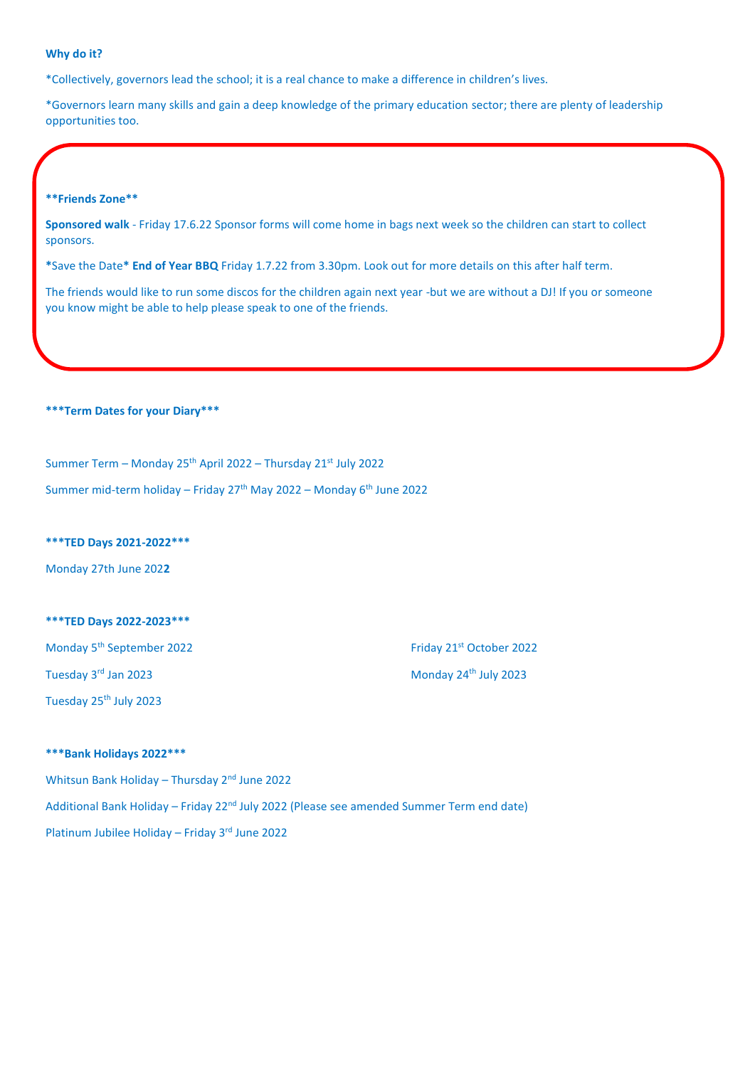## **Why do it?**

\*Collectively, governors lead the school; it is a real chance to make a difference in children's lives.

\*Governors learn many skills and gain a deep knowledge of the primary education sector; there are plenty of leadership opportunities too.

#### **\*\*Friends Zone\*\***

**Sponsored walk** - Friday 17.6.22 Sponsor forms will come home in bags next week so the children can start to collect sponsors.

**\***Save the Date**\* End of Year BBQ** Friday 1.7.22 from 3.30pm. Look out for more details on this after half term.

The friends would like to run some discos for the children again next year -but we are without a DJ! If you or someone you know might be able to help please speak to one of the friends.

**\*\*\*Term Dates for your Diary\*\*\***

Summer Term – Monday 25th April 2022 – Thursday 21st July 2022

Summer mid-term holiday – Friday  $27<sup>th</sup>$  May 2022 – Monday  $6<sup>th</sup>$  June 2022

## **\*\*\*TED Days 2021-2022\*\*\***

Monday 27th June 202**2**

## **\*\*\*TED Days 2022-2023\*\*\***

Monday 5<sup>th</sup> September 2022 **Friday 21st October 2022** Friday 21st October 2022

Tuesday 25th July 2023

# Tuesday 3<sup>rd</sup> Jan 2023 **Monday 24<sup>th</sup> July 2023**

## **\*\*\*Bank Holidays 2022\*\*\***

Whitsun Bank Holiday – Thursday 2<sup>nd</sup> June 2022 Additional Bank Holiday – Friday 22<sup>nd</sup> July 2022 (Please see amended Summer Term end date) Platinum Jubilee Holiday – Friday 3rd June 2022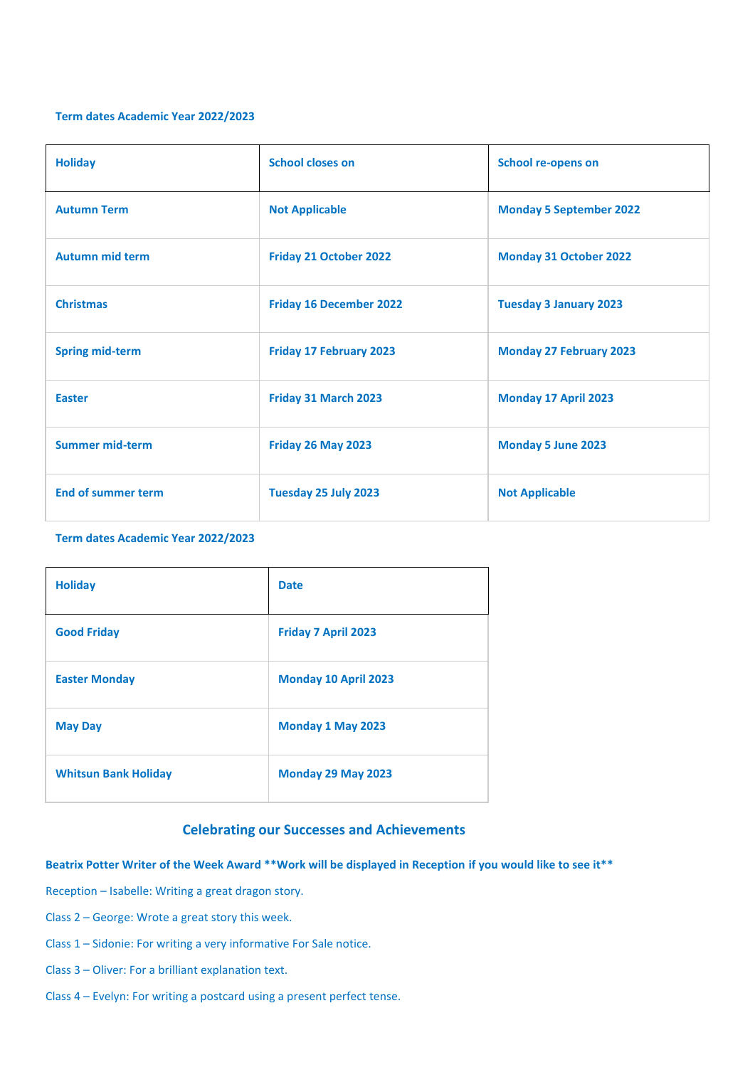## **Term dates Academic Year 2022/2023**

| <b>Holiday</b>            | <b>School closes on</b>        | <b>School re-opens on</b>      |
|---------------------------|--------------------------------|--------------------------------|
| <b>Autumn Term</b>        | <b>Not Applicable</b>          | <b>Monday 5 September 2022</b> |
| <b>Autumn mid term</b>    | Friday 21 October 2022         | <b>Monday 31 October 2022</b>  |
| <b>Christmas</b>          | <b>Friday 16 December 2022</b> | <b>Tuesday 3 January 2023</b>  |
| <b>Spring mid-term</b>    | <b>Friday 17 February 2023</b> | <b>Monday 27 February 2023</b> |
| <b>Easter</b>             | Friday 31 March 2023           | Monday 17 April 2023           |
| <b>Summer mid-term</b>    | Friday 26 May 2023             | <b>Monday 5 June 2023</b>      |
| <b>End of summer term</b> | Tuesday 25 July 2023           | <b>Not Applicable</b>          |

## **Term dates Academic Year 2022/2023**

| <b>Holiday</b>              | <b>Date</b>                |
|-----------------------------|----------------------------|
| <b>Good Friday</b>          | <b>Friday 7 April 2023</b> |
| <b>Easter Monday</b>        | Monday 10 April 2023       |
| <b>May Day</b>              | Monday 1 May 2023          |
| <b>Whitsun Bank Holiday</b> | Monday 29 May 2023         |

## **Celebrating our Successes and Achievements**

## **Beatrix Potter Writer of the Week Award \*\*Work will be displayed in Reception if you would like to see it\*\***

Reception – Isabelle: Writing a great dragon story.

- Class 2 George: Wrote a great story this week.
- Class 1 Sidonie: For writing a very informative For Sale notice.
- Class 3 Oliver: For a brilliant explanation text.
- Class 4 Evelyn: For writing a postcard using a present perfect tense.